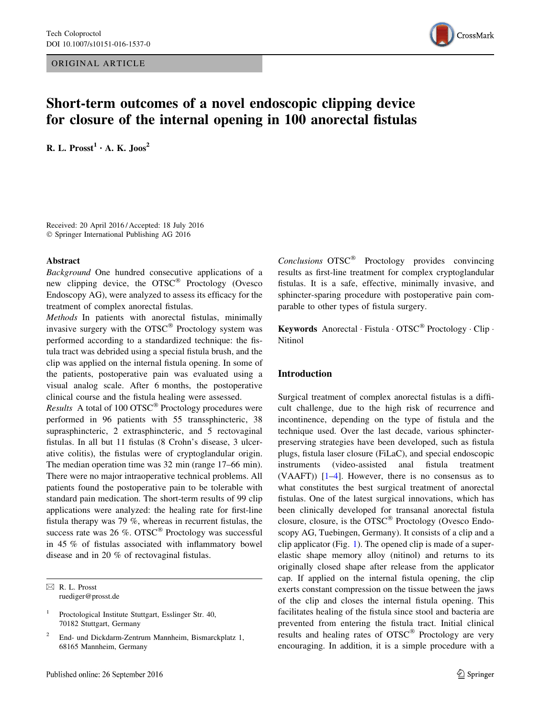ORIGINAL ARTICLE



# Short-term outcomes of a novel endoscopic clipping device for closure of the internal opening in 100 anorectal fistulas

R. L.  $Prosst<sup>1</sup> · A. K. Joos<sup>2</sup>$ 

Received: 20 April 2016 / Accepted: 18 July 2016 - Springer International Publishing AG 2016

#### Abstract

Background One hundred consecutive applications of a new clipping device, the  $OTSC^{\circledR}$  Proctology (Ovesco Endoscopy AG), were analyzed to assess its efficacy for the treatment of complex anorectal fistulas.

Methods In patients with anorectal fistulas, minimally invasive surgery with the  $OTSC^{\circledR}$  Proctology system was performed according to a standardized technique: the fistula tract was debrided using a special fistula brush, and the clip was applied on the internal fistula opening. In some of the patients, postoperative pain was evaluated using a visual analog scale. After 6 months, the postoperative clinical course and the fistula healing were assessed.

*Results* A total of 100  $OTSC^{\circledR}$  Proctology procedures were performed in 96 patients with 55 transsphincteric, 38 suprasphincteric, 2 extrasphincteric, and 5 rectovaginal fistulas. In all but 11 fistulas (8 Crohn's disease, 3 ulcerative colitis), the fistulas were of cryptoglandular origin. The median operation time was 32 min (range 17–66 min). There were no major intraoperative technical problems. All patients found the postoperative pain to be tolerable with standard pain medication. The short-term results of 99 clip applications were analyzed: the healing rate for first-line fistula therapy was 79 %, whereas in recurrent fistulas, the success rate was 26 %. OTSC<sup>®</sup> Proctology was successful in 45 % of fistulas associated with inflammatory bowel disease and in 20 % of rectovaginal fistulas.

 $\boxtimes$  R. L. Prosst ruediger@prosst.de

Proctological Institute Stuttgart, Esslinger Str. 40, 70182 Stuttgart, Germany

<sup>2</sup> End- und Dickdarm-Zentrum Mannheim, Bismarckplatz 1, 68165 Mannheim, Germany

 $Conclusions \tOTSC^@ \t Proctology \t provides \t convincing$ results as first-line treatment for complex cryptoglandular fistulas. It is a safe, effective, minimally invasive, and sphincter-sparing procedure with postoperative pain comparable to other types of fistula surgery.

Keywords Anorectal · Fistula · OTSC® Proctology · Clip · Nitinol

#### Introduction

Surgical treatment of complex anorectal fistulas is a difficult challenge, due to the high risk of recurrence and incontinence, depending on the type of fistula and the technique used. Over the last decade, various sphincterpreserving strategies have been developed, such as fistula plugs, fistula laser closure (FiLaC), and special endoscopic instruments (video-assisted anal fistula treatment (VAAFT)) [\[1](#page-4-0)[–4](#page-5-0)]. However, there is no consensus as to what constitutes the best surgical treatment of anorectal fistulas. One of the latest surgical innovations, which has been clinically developed for transanal anorectal fistula closure, closure, is the  $OTSC^{\circledast}$  Proctology (Ovesco Endoscopy AG, Tuebingen, Germany). It consists of a clip and a clip applicator (Fig. [1\)](#page-1-0). The opened clip is made of a superelastic shape memory alloy (nitinol) and returns to its originally closed shape after release from the applicator cap. If applied on the internal fistula opening, the clip exerts constant compression on the tissue between the jaws of the clip and closes the internal fistula opening. This facilitates healing of the fistula since stool and bacteria are prevented from entering the fistula tract. Initial clinical results and healing rates of  $OTSC^{\circledast}$  Proctology are very encouraging. In addition, it is a simple procedure with a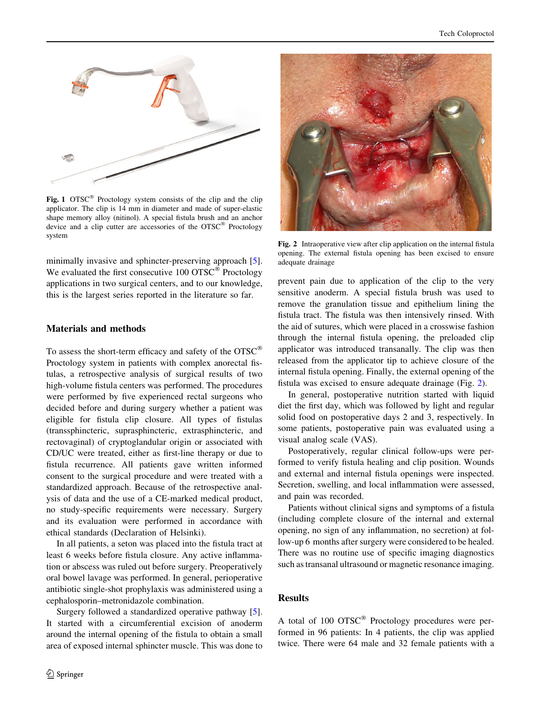<span id="page-1-0"></span>

Fig. 1 OTSC<sup>®</sup> Proctology system consists of the clip and the clip applicator. The clip is 14 mm in diameter and made of super-elastic shape memory alloy (nitinol). A special fistula brush and an anchor device and a clip cutter are accessories of the OTSC<sup>®</sup> Proctology system

minimally invasive and sphincter-preserving approach [\[5](#page-5-0)]. We evaluated the first consecutive  $100 \text{ OTSC}^{\circledR}$  Proctology applications in two surgical centers, and to our knowledge, this is the largest series reported in the literature so far.

# Materials and methods

To assess the short-term efficacy and safety of the OTSC Proctology system in patients with complex anorectal fistulas, a retrospective analysis of surgical results of two high-volume fistula centers was performed. The procedures were performed by five experienced rectal surgeons who decided before and during surgery whether a patient was eligible for fistula clip closure. All types of fistulas (transsphincteric, suprasphincteric, extrasphincteric, and rectovaginal) of cryptoglandular origin or associated with CD/UC were treated, either as first-line therapy or due to fistula recurrence. All patients gave written informed consent to the surgical procedure and were treated with a standardized approach. Because of the retrospective analysis of data and the use of a CE-marked medical product, no study-specific requirements were necessary. Surgery and its evaluation were performed in accordance with ethical standards (Declaration of Helsinki).

In all patients, a seton was placed into the fistula tract at least 6 weeks before fistula closure. Any active inflammation or abscess was ruled out before surgery. Preoperatively oral bowel lavage was performed. In general, perioperative antibiotic single-shot prophylaxis was administered using a cephalosporin–metronidazole combination.

Surgery followed a standardized operative pathway [\[5](#page-5-0)]. It started with a circumferential excision of anoderm around the internal opening of the fistula to obtain a small area of exposed internal sphincter muscle. This was done to



Fig. 2 Intraoperative view after clip application on the internal fistula opening. The external fistula opening has been excised to ensure adequate drainage

prevent pain due to application of the clip to the very sensitive anoderm. A special fistula brush was used to remove the granulation tissue and epithelium lining the fistula tract. The fistula was then intensively rinsed. With the aid of sutures, which were placed in a crosswise fashion through the internal fistula opening, the preloaded clip applicator was introduced transanally. The clip was then released from the applicator tip to achieve closure of the internal fistula opening. Finally, the external opening of the fistula was excised to ensure adequate drainage (Fig. 2).

In general, postoperative nutrition started with liquid diet the first day, which was followed by light and regular solid food on postoperative days 2 and 3, respectively. In some patients, postoperative pain was evaluated using a visual analog scale (VAS).

Postoperatively, regular clinical follow-ups were performed to verify fistula healing and clip position. Wounds and external and internal fistula openings were inspected. Secretion, swelling, and local inflammation were assessed, and pain was recorded.

Patients without clinical signs and symptoms of a fistula (including complete closure of the internal and external opening, no sign of any inflammation, no secretion) at follow-up 6 months after surgery were considered to be healed. There was no routine use of specific imaging diagnostics such as transanal ultrasound or magnetic resonance imaging.

# Results

A total of  $100$  OTSC<sup>®</sup> Proctology procedures were performed in 96 patients: In 4 patients, the clip was applied twice. There were 64 male and 32 female patients with a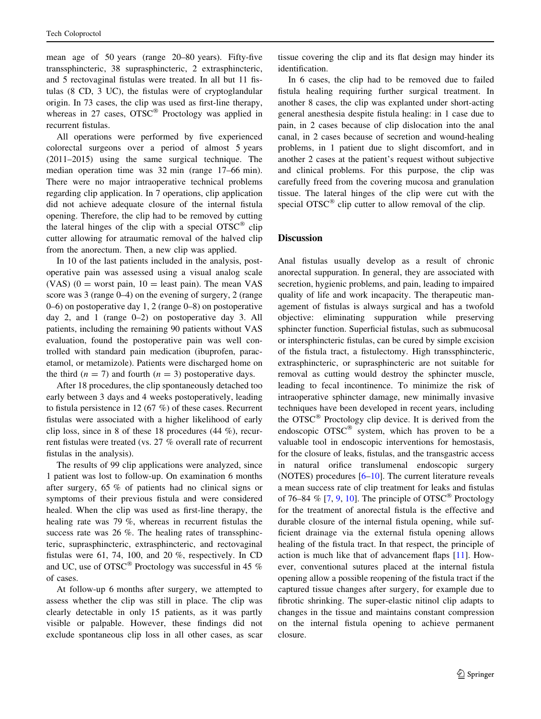mean age of 50 years (range 20–80 years). Fifty-five transsphincteric, 38 suprasphincteric, 2 extrasphincteric, and 5 rectovaginal fistulas were treated. In all but 11 fistulas (8 CD, 3 UC), the fistulas were of cryptoglandular origin. In 73 cases, the clip was used as first-line therapy, whereas in 27 cases,  $OTSC^{\circledR}$  Proctology was applied in recurrent fistulas.

All operations were performed by five experienced colorectal surgeons over a period of almost 5 years (2011–2015) using the same surgical technique. The median operation time was 32 min (range 17–66 min). There were no major intraoperative technical problems regarding clip application. In 7 operations, clip application did not achieve adequate closure of the internal fistula opening. Therefore, the clip had to be removed by cutting the lateral hinges of the clip with a special  $OTSC^{\circledast}$  clip cutter allowing for atraumatic removal of the halved clip from the anorectum. Then, a new clip was applied.

In 10 of the last patients included in the analysis, postoperative pain was assessed using a visual analog scale (VAS)  $(0 =$  worst pain,  $10 =$  least pain). The mean VAS score was 3 (range 0–4) on the evening of surgery, 2 (range 0–6) on postoperative day 1, 2 (range 0–8) on postoperative day 2, and 1 (range 0–2) on postoperative day 3. All patients, including the remaining 90 patients without VAS evaluation, found the postoperative pain was well controlled with standard pain medication (ibuprofen, paracetamol, or metamizole). Patients were discharged home on the third ( $n = 7$ ) and fourth ( $n = 3$ ) postoperative days.

After 18 procedures, the clip spontaneously detached too early between 3 days and 4 weeks postoperatively, leading to fistula persistence in 12 (67 %) of these cases. Recurrent fistulas were associated with a higher likelihood of early clip loss, since in 8 of these 18 procedures (44 %), recurrent fistulas were treated (vs. 27 % overall rate of recurrent fistulas in the analysis).

The results of 99 clip applications were analyzed, since 1 patient was lost to follow-up. On examination 6 months after surgery, 65 % of patients had no clinical signs or symptoms of their previous fistula and were considered healed. When the clip was used as first-line therapy, the healing rate was 79 %, whereas in recurrent fistulas the success rate was 26 %. The healing rates of transsphincteric, suprasphincteric, extrasphincteric, and rectovaginal fistulas were 61, 74, 100, and 20 %, respectively. In CD and UC, use of  $OTSC^{\circledast}$  Proctology was successful in 45 % of cases.

At follow-up 6 months after surgery, we attempted to assess whether the clip was still in place. The clip was clearly detectable in only 15 patients, as it was partly visible or palpable. However, these findings did not exclude spontaneous clip loss in all other cases, as scar

tissue covering the clip and its flat design may hinder its identification.

In 6 cases, the clip had to be removed due to failed fistula healing requiring further surgical treatment. In another 8 cases, the clip was explanted under short-acting general anesthesia despite fistula healing: in 1 case due to pain, in 2 cases because of clip dislocation into the anal canal, in 2 cases because of secretion and wound-healing problems, in 1 patient due to slight discomfort, and in another 2 cases at the patient's request without subjective and clinical problems. For this purpose, the clip was carefully freed from the covering mucosa and granulation tissue. The lateral hinges of the clip were cut with the special  $OTSC^{\circledast}$  clip cutter to allow removal of the clip.

### **Discussion**

Anal fistulas usually develop as a result of chronic anorectal suppuration. In general, they are associated with secretion, hygienic problems, and pain, leading to impaired quality of life and work incapacity. The therapeutic management of fistulas is always surgical and has a twofold objective: eliminating suppuration while preserving sphincter function. Superficial fistulas, such as submucosal or intersphincteric fistulas, can be cured by simple excision of the fistula tract, a fistulectomy. High transsphincteric, extrasphincteric, or suprasphincteric are not suitable for removal as cutting would destroy the sphincter muscle, leading to fecal incontinence. To minimize the risk of intraoperative sphincter damage, new minimally invasive techniques have been developed in recent years, including the  $OTSC^{\circledR}$  Proctology clip device. It is derived from the endoscopic OTSC® system, which has proven to be a valuable tool in endoscopic interventions for hemostasis, for the closure of leaks, fistulas, and the transgastric access in natural orifice translumenal endoscopic surgery (NOTES) procedures [\[6–10\]](#page-5-0). The current literature reveals a mean success rate of clip treatment for leaks and fistulas of 76–84 % [[7,](#page-5-0) [9,](#page-5-0) [10](#page-5-0)]. The principle of  $OTSC^{\circledR}$  Proctology for the treatment of anorectal fistula is the effective and durable closure of the internal fistula opening, while sufficient drainage via the external fistula opening allows healing of the fistula tract. In that respect, the principle of action is much like that of advancement flaps [\[11](#page-5-0)]. However, conventional sutures placed at the internal fistula opening allow a possible reopening of the fistula tract if the captured tissue changes after surgery, for example due to fibrotic shrinking. The super-elastic nitinol clip adapts to changes in the tissue and maintains constant compression on the internal fistula opening to achieve permanent closure.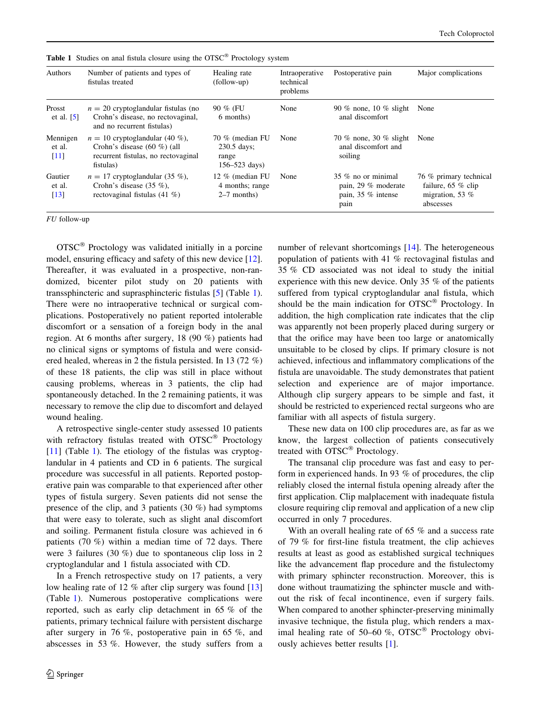| <b>Authors</b>                           | Number of patients and types of<br>fistulas treated                                                                    | Healing rate<br>(follow-up)                                    | Intraoperative<br>technical<br>problems | Postoperative pain                                                        | Major complications                                                             |
|------------------------------------------|------------------------------------------------------------------------------------------------------------------------|----------------------------------------------------------------|-----------------------------------------|---------------------------------------------------------------------------|---------------------------------------------------------------------------------|
| Prosst<br>et al. $\lceil 5 \rceil$       | $n = 20$ cryptoglandular fistulas (no<br>Crohn's disease, no rectovaginal,<br>and no recurrent fistulas)               | 90 % (FU<br>6 months)                                          | None                                    | 90 % none, 10 % slight<br>anal discomfort                                 | None                                                                            |
| Mennigen<br>et al.<br>$\lceil 11 \rceil$ | $n = 10$ cryptoglandular (40 %),<br>Crohn's disease $(60 \%)$ (all<br>recurrent fistulas, no rectovaginal<br>fistulas) | 70 % (median FU<br>$230.5$ days;<br>range<br>$156 - 523$ days) | None                                    | 70 % none, 30 % slight<br>anal discomfort and<br>soiling                  | None                                                                            |
| Gautier<br>et al.<br>$[13]$              | $n = 17$ cryptoglandular (35 %),<br>Crohn's disease $(35 \%)$ ,<br>rectovaginal fistulas $(41\%)$                      | 12 % (median FU<br>4 months; range<br>$2-7$ months)            | None                                    | $35\%$ no or minimal<br>pain, 29 % moderate<br>pain, 35 % intense<br>pain | 76 % primary technical<br>failure, $65%$ clip<br>migration, 53 $%$<br>abscesses |

**Table 1** Studies on anal fistula closure using the  $OTSC^{\circledR}$  Proctology system

FU follow-up

 $OTSC^{\circledast}$  Proctology was validated initially in a porcine model, ensuring efficacy and safety of this new device [\[12](#page-5-0)]. Thereafter, it was evaluated in a prospective, non-randomized, bicenter pilot study on 20 patients with transsphincteric and suprasphincteric fistulas [[5\]](#page-5-0) (Table 1). There were no intraoperative technical or surgical complications. Postoperatively no patient reported intolerable discomfort or a sensation of a foreign body in the anal region. At 6 months after surgery, 18 (90 %) patients had no clinical signs or symptoms of fistula and were considered healed, whereas in 2 the fistula persisted. In 13 (72 %) of these 18 patients, the clip was still in place without causing problems, whereas in 3 patients, the clip had spontaneously detached. In the 2 remaining patients, it was necessary to remove the clip due to discomfort and delayed wound healing.

A retrospective single-center study assessed 10 patients with refractory fistulas treated with  $OTSC^{\circledR}$  Proctology [\[11](#page-5-0)] (Table 1). The etiology of the fistulas was cryptoglandular in 4 patients and CD in 6 patients. The surgical procedure was successful in all patients. Reported postoperative pain was comparable to that experienced after other types of fistula surgery. Seven patients did not sense the presence of the clip, and 3 patients (30 %) had symptoms that were easy to tolerate, such as slight anal discomfort and soiling. Permanent fistula closure was achieved in 6 patients (70 %) within a median time of 72 days. There were 3 failures (30 %) due to spontaneous clip loss in 2 cryptoglandular and 1 fistula associated with CD.

In a French retrospective study on 17 patients, a very low healing rate of 12 % after clip surgery was found [[13\]](#page-5-0) (Table 1). Numerous postoperative complications were reported, such as early clip detachment in 65 % of the patients, primary technical failure with persistent discharge after surgery in 76 %, postoperative pain in 65 %, and abscesses in 53 %. However, the study suffers from a number of relevant shortcomings [\[14](#page-5-0)]. The heterogeneous population of patients with 41 % rectovaginal fistulas and 35 % CD associated was not ideal to study the initial experience with this new device. Only 35 % of the patients suffered from typical cryptoglandular anal fistula, which should be the main indication for  $OTSC^{\circledast}$  Proctology. In addition, the high complication rate indicates that the clip was apparently not been properly placed during surgery or that the orifice may have been too large or anatomically unsuitable to be closed by clips. If primary closure is not achieved, infectious and inflammatory complications of the fistula are unavoidable. The study demonstrates that patient selection and experience are of major importance. Although clip surgery appears to be simple and fast, it should be restricted to experienced rectal surgeons who are familiar with all aspects of fistula surgery.

These new data on 100 clip procedures are, as far as we know, the largest collection of patients consecutively treated with OTSC<sup>®</sup> Proctology.

The transanal clip procedure was fast and easy to perform in experienced hands. In 93 % of procedures, the clip reliably closed the internal fistula opening already after the first application. Clip malplacement with inadequate fistula closure requiring clip removal and application of a new clip occurred in only 7 procedures.

With an overall healing rate of 65 % and a success rate of 79 % for first-line fistula treatment, the clip achieves results at least as good as established surgical techniques like the advancement flap procedure and the fistulectomy with primary sphincter reconstruction. Moreover, this is done without traumatizing the sphincter muscle and without the risk of fecal incontinence, even if surgery fails. When compared to another sphincter-preserving minimally invasive technique, the fistula plug, which renders a maximal healing rate of 50–60 %, OTSC<sup>®</sup> Proctology obviously achieves better results [[1\]](#page-4-0).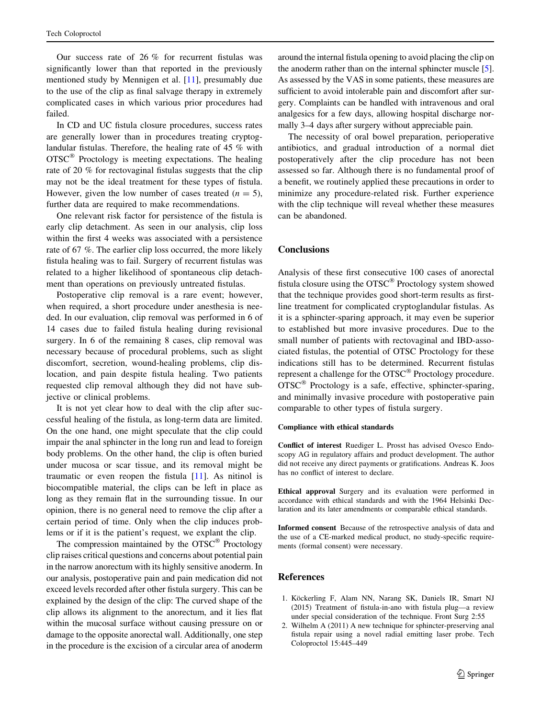<span id="page-4-0"></span>Our success rate of 26 % for recurrent fistulas was significantly lower than that reported in the previously mentioned study by Mennigen et al. [[11\]](#page-5-0), presumably due to the use of the clip as final salvage therapy in extremely complicated cases in which various prior procedures had failed.

In CD and UC fistula closure procedures, success rates are generally lower than in procedures treating cryptoglandular fistulas. Therefore, the healing rate of 45 % with  $OTSC^{\circledR}$  Proctology is meeting expectations. The healing rate of 20 % for rectovaginal fistulas suggests that the clip may not be the ideal treatment for these types of fistula. However, given the low number of cases treated  $(n = 5)$ , further data are required to make recommendations.

One relevant risk factor for persistence of the fistula is early clip detachment. As seen in our analysis, clip loss within the first 4 weeks was associated with a persistence rate of 67 %. The earlier clip loss occurred, the more likely fistula healing was to fail. Surgery of recurrent fistulas was related to a higher likelihood of spontaneous clip detachment than operations on previously untreated fistulas.

Postoperative clip removal is a rare event; however, when required, a short procedure under anesthesia is needed. In our evaluation, clip removal was performed in 6 of 14 cases due to failed fistula healing during revisional surgery. In 6 of the remaining 8 cases, clip removal was necessary because of procedural problems, such as slight discomfort, secretion, wound-healing problems, clip dislocation, and pain despite fistula healing. Two patients requested clip removal although they did not have subjective or clinical problems.

It is not yet clear how to deal with the clip after successful healing of the fistula, as long-term data are limited. On the one hand, one might speculate that the clip could impair the anal sphincter in the long run and lead to foreign body problems. On the other hand, the clip is often buried under mucosa or scar tissue, and its removal might be traumatic or even reopen the fistula [\[11](#page-5-0)]. As nitinol is biocompatible material, the clips can be left in place as long as they remain flat in the surrounding tissue. In our opinion, there is no general need to remove the clip after a certain period of time. Only when the clip induces problems or if it is the patient's request, we explant the clip.

The compression maintained by the  $OTSC^{\circledR}$  Proctology clip raises critical questions and concerns about potential pain in the narrow anorectum with its highly sensitive anoderm. In our analysis, postoperative pain and pain medication did not exceed levels recorded after other fistula surgery. This can be explained by the design of the clip: The curved shape of the clip allows its alignment to the anorectum, and it lies flat within the mucosal surface without causing pressure on or damage to the opposite anorectal wall. Additionally, one step in the procedure is the excision of a circular area of anoderm

around the internal fistula opening to avoid placing the clip on the anoderm rather than on the internal sphincter muscle [[5\]](#page-5-0). As assessed by the VAS in some patients, these measures are sufficient to avoid intolerable pain and discomfort after surgery. Complaints can be handled with intravenous and oral analgesics for a few days, allowing hospital discharge normally 3–4 days after surgery without appreciable pain.

The necessity of oral bowel preparation, perioperative antibiotics, and gradual introduction of a normal diet postoperatively after the clip procedure has not been assessed so far. Although there is no fundamental proof of a benefit, we routinely applied these precautions in order to minimize any procedure-related risk. Further experience with the clip technique will reveal whether these measures can be abandoned.

## **Conclusions**

Analysis of these first consecutive 100 cases of anorectal fistula closure using the  $OTSC^{\circledast}$  Proctology system showed that the technique provides good short-term results as firstline treatment for complicated cryptoglandular fistulas. As it is a sphincter-sparing approach, it may even be superior to established but more invasive procedures. Due to the small number of patients with rectovaginal and IBD-associated fistulas, the potential of OTSC Proctology for these indications still has to be determined. Recurrent fistulas represent a challenge for the OTSC<sup>®</sup> Proctology procedure.  $OTSC^{\circledast}$  Proctology is a safe, effective, sphincter-sparing, and minimally invasive procedure with postoperative pain comparable to other types of fistula surgery.

#### Compliance with ethical standards

Conflict of interest Ruediger L. Prosst has advised Ovesco Endoscopy AG in regulatory affairs and product development. The author did not receive any direct payments or gratifications. Andreas K. Joos has no conflict of interest to declare.

Ethical approval Surgery and its evaluation were performed in accordance with ethical standards and with the 1964 Helsinki Declaration and its later amendments or comparable ethical standards.

Informed consent Because of the retrospective analysis of data and the use of a CE-marked medical product, no study-specific requirements (formal consent) were necessary.

#### References

- 1. Köckerling F, Alam NN, Narang SK, Daniels IR, Smart NJ (2015) Treatment of fistula-in-ano with fistula plug—a review under special consideration of the technique. Front Surg 2:55
- 2. Wilhelm A (2011) A new technique for sphincter-preserving anal fistula repair using a novel radial emitting laser probe. Tech Coloproctol 15:445–449